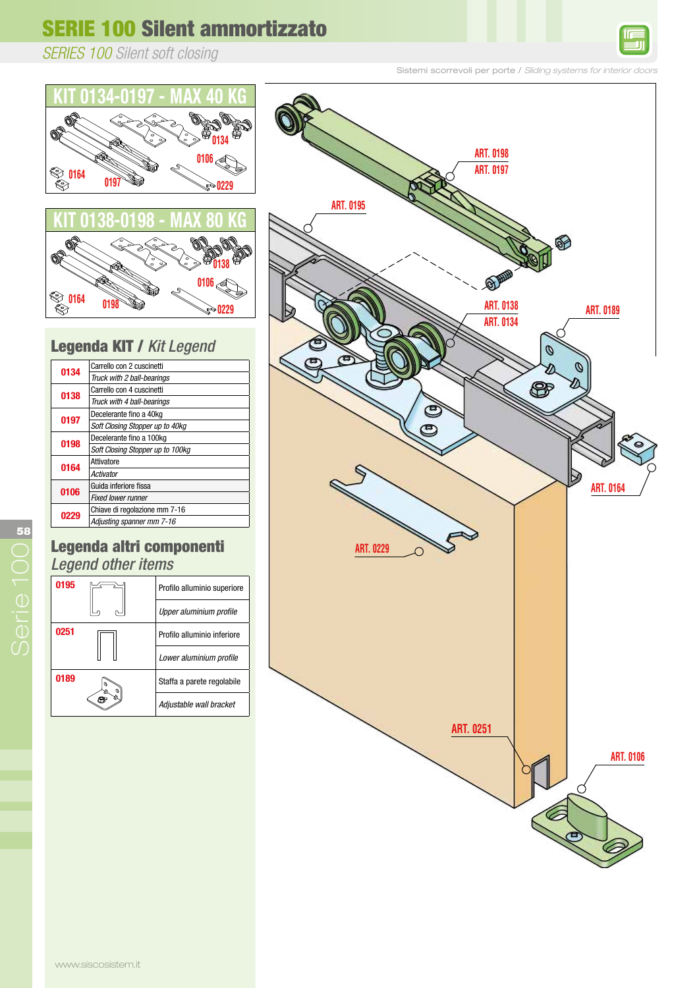# **SERIE 100 Silent ammortizzato**

*SERIES 100 Silent soft closing*

### Sistemi scorrevoli per porte / *Sliding systems for interior doors*



**ART. 0196**





#### Legenda KIT / Kit Legend  $A$ aranda KIT / Kit Lac

| 0134 | Carrello con 2 cuscinetti        |
|------|----------------------------------|
|      | Truck with 2 ball-bearings       |
| 0138 | Carrello con 4 cuscinetti        |
|      | Truck with 4 ball-bearings       |
| 0197 | Decelerante fino a 40kg          |
|      | Soft Closing Stopper up to 40kg  |
| 0198 | Decelerante fino a 100kg         |
|      | Soft Closing Stopper up to 100kg |
| 0164 | Attivatore                       |
|      | Activator                        |
| 0106 | Guida inferiore fissa            |
|      | <b>Fixed lower runner</b>        |
| 0229 | Chiave di regolazione mm 7-16    |
|      | Adjusting spanner mm 7-16        |
|      |                                  |

#### Legenda altri componenti Legend other items I aways de the aut Anenda altri cu Logona othor nom ART. 0195 Profilo alluminio superiore Max. 80 kg a Uunu numid

| 0195 |  | Profilo alluminio superiore |
|------|--|-----------------------------|
|      |  | Upper aluminium profile     |
| 0251 |  | Profilo alluminio inferiore |
|      |  | Lower aluminium profile     |
| 0189 |  | Staffa a parete regolabile  |
|      |  | Adjustable wall bracket     |